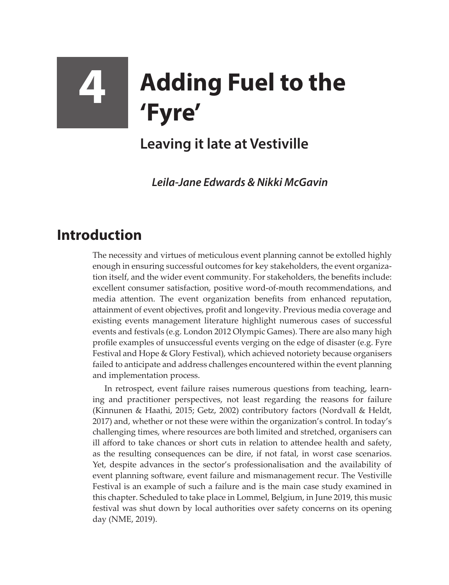## **4 Adding Fuel to the 'Fyre'**

## **Leaving it late at Vestiville**

*Leila-Jane Edwards & Nikki McGavin*

## **Introduction**

The necessity and virtues of meticulous event planning cannot be extolled highly enough in ensuring successful outcomes for key stakeholders, the event organization itself, and the wider event community. For stakeholders, the benefits include: excellent consumer satisfaction, positive word-of-mouth recommendations, and media attention. The event organization benefits from enhanced reputation, attainment of event objectives, profit and longevity. Previous media coverage and existing events management literature highlight numerous cases of successful events and festivals (e.g. London 2012 Olympic Games). There are also many high profile examples of unsuccessful events verging on the edge of disaster (e.g. Fyre Festival and Hope & Glory Festival), which achieved notoriety because organisers failed to anticipate and address challenges encountered within the event planning and implementation process.

In retrospect, event failure raises numerous questions from teaching, learning and practitioner perspectives, not least regarding the reasons for failure (Kinnunen & Haathi, 2015; Getz, 2002) contributory factors (Nordvall & Heldt, 2017) and, whether or not these were within the organization's control. In today's challenging times, where resources are both limited and stretched, organisers can ill afford to take chances or short cuts in relation to attendee health and safety, as the resulting consequences can be dire, if not fatal, in worst case scenarios. Yet, despite advances in the sector's professionalisation and the availability of event planning software, event failure and mismanagement recur. The Vestiville Festival is an example of such a failure and is the main case study examined in this chapter. Scheduled to take place in Lommel, Belgium, in June 2019, this music festival was shut down by local authorities over safety concerns on its opening day (NME, 2019).